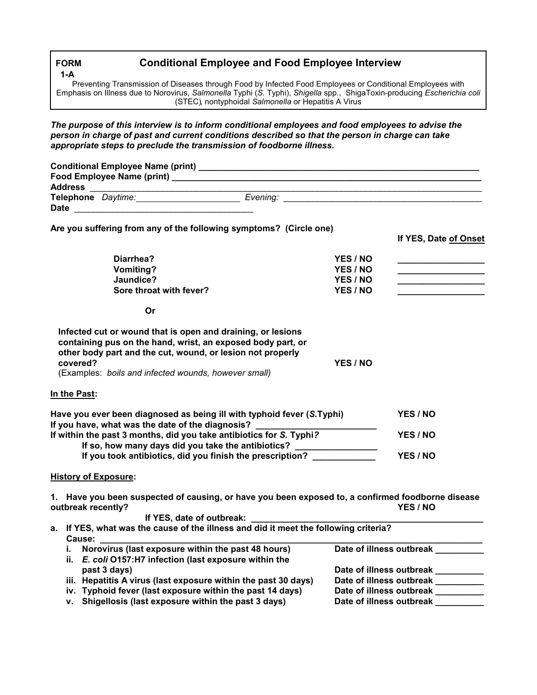## **Conditional Employee and Food Employee Interview**

 (STEC), nontyphoidal *Salmonella* or Hepatitis A Virus Preventing Transmission of Diseases through Food by Infected Food Employees or Conditional Employees with Emphasis on Illness due to Norovirus, *Salmonella* Typhi (*S.* Typhi), *Shigella* spp., ShigaToxin-producing *Escherichia coli* 

 *appropriate steps to preclude the transmission of foodborne illness. The purpose of this interview is to inform conditional employees and food employees to advise the person in charge of past and current conditions described so that the person in charge can take* 

| <b>Address</b> |                           |          |
|----------------|---------------------------|----------|
| <b>Date</b>    | <b>Telephone</b> Daytime: | Evening: |

|                                                                                                                                                                                                             | If YES, Date of Onset                                                                                         |  |
|-------------------------------------------------------------------------------------------------------------------------------------------------------------------------------------------------------------|---------------------------------------------------------------------------------------------------------------|--|
| YES / NO                                                                                                                                                                                                    |                                                                                                               |  |
| YES / NO                                                                                                                                                                                                    |                                                                                                               |  |
| YES / NO                                                                                                                                                                                                    | the control of the control of the control of the control of                                                   |  |
| YES / NO                                                                                                                                                                                                    |                                                                                                               |  |
|                                                                                                                                                                                                             |                                                                                                               |  |
| YES / NO                                                                                                                                                                                                    |                                                                                                               |  |
|                                                                                                                                                                                                             |                                                                                                               |  |
|                                                                                                                                                                                                             |                                                                                                               |  |
| Have you ever been diagnosed as being ill with typhoid fever (S.Typhi)                                                                                                                                      | YES / NO                                                                                                      |  |
| If you have, what was the date of the diagnosis?<br>If within the past 3 months, did you take antibiotics for S. Typhi?<br>If so, how many days did you take the antibiotics? _____________________________ |                                                                                                               |  |
| If you took antibiotics, did you finish the prescription?                                                                                                                                                   | YES / NO                                                                                                      |  |
|                                                                                                                                                                                                             |                                                                                                               |  |
|                                                                                                                                                                                                             | 1. Have you been suspected of causing, or have you been exposed to, a confirmed foodborne disease<br>YES / NO |  |
|                                                                                                                                                                                                             |                                                                                                               |  |
|                                                                                                                                                                                                             | Are you suffering from any of the following symptoms? (Circle one)                                            |  |

 **a. If YES, what was the cause of the illness and did it meet the following criteria? Cause: \_\_\_\_\_\_\_\_\_\_\_\_\_\_\_\_\_\_\_\_\_\_\_\_\_\_\_\_\_\_\_\_\_\_\_\_\_\_\_\_\_\_\_\_\_\_\_\_\_\_\_\_\_\_\_\_\_\_\_\_\_\_\_\_\_\_\_\_\_\_\_\_\_\_\_\_\_\_\_ i.** Norovirus (last exposure within the past 48 hours) Date of illness outbreak \_\_\_\_\_\_ **ii.** *E***.** *coli* **O157:H7 infection (last exposure within the**  Date of illness outbreak \_\_\_\_\_\_\_\_\_<br>Date of illness outbreak \_\_\_\_\_\_\_\_ iii. Hepatitis A virus (last exposure within the past 30 days) Date of illness outbreak \_\_\_\_\_\_\_\_\_<br>iv. Typhoid fever (last exposure within the past 14 days) Date of illness outbreak iv. Typhoid fever (last exposure within the past 14 days) v. Shigellosis (last exposure within the past 3 days) Date of illness outbreak

**FORM 1-A**